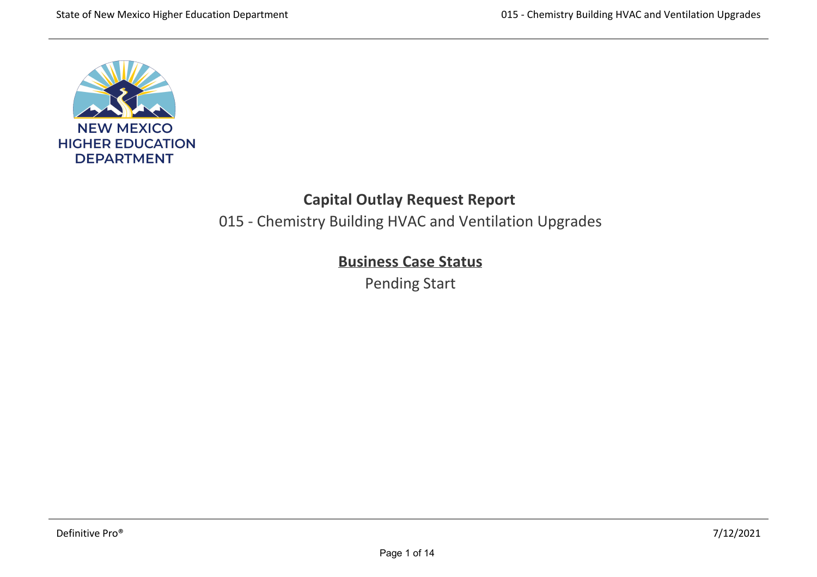

# **Capital Outlay Request Report**

015 - Chemistry Building HVAC and Ventilation Upgrades

# **Business Case Status**

Pending Start

lecture hall, graduate and undergraduate labs and faculty and graduate offices, connecting to the existing building at the 2nd and 3rd levels.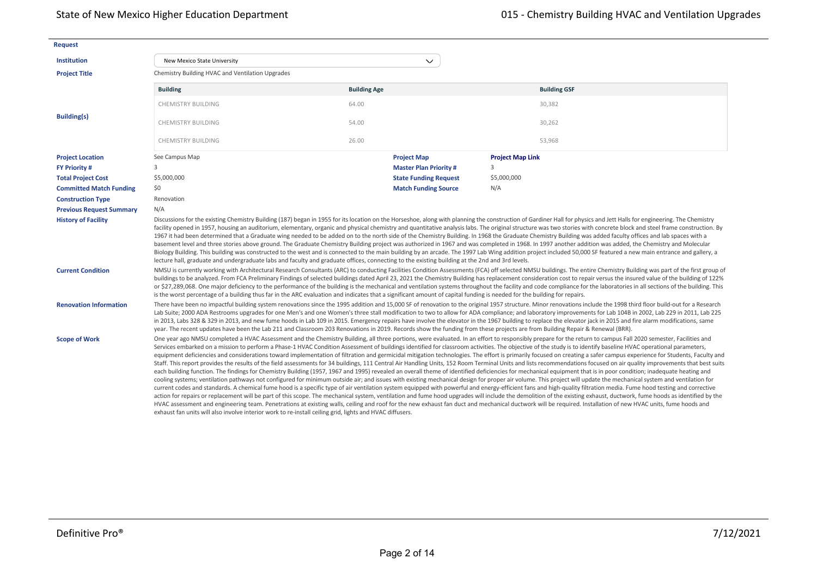| <b>Request</b>                  |                                                                                                                                                                                                                                                                                                                                                                                                                                                                                                                                                                                                                                                                                                                                                                                                                                                                                                                                                                                                                                                                                                                                                                                                                                                                                                                                                                                                                                                                                                                                                                                                                                                                                                                                                                                                                                                                                                                                                                                                                                                                                                                                                                                                                                                                                               |                     |                              |                         |                                                                                                                                                                                                                                                                                                                                                                                                                                                                                                                                                                                                                                                                                |  |  |  |  |
|---------------------------------|-----------------------------------------------------------------------------------------------------------------------------------------------------------------------------------------------------------------------------------------------------------------------------------------------------------------------------------------------------------------------------------------------------------------------------------------------------------------------------------------------------------------------------------------------------------------------------------------------------------------------------------------------------------------------------------------------------------------------------------------------------------------------------------------------------------------------------------------------------------------------------------------------------------------------------------------------------------------------------------------------------------------------------------------------------------------------------------------------------------------------------------------------------------------------------------------------------------------------------------------------------------------------------------------------------------------------------------------------------------------------------------------------------------------------------------------------------------------------------------------------------------------------------------------------------------------------------------------------------------------------------------------------------------------------------------------------------------------------------------------------------------------------------------------------------------------------------------------------------------------------------------------------------------------------------------------------------------------------------------------------------------------------------------------------------------------------------------------------------------------------------------------------------------------------------------------------------------------------------------------------------------------------------------------------|---------------------|------------------------------|-------------------------|--------------------------------------------------------------------------------------------------------------------------------------------------------------------------------------------------------------------------------------------------------------------------------------------------------------------------------------------------------------------------------------------------------------------------------------------------------------------------------------------------------------------------------------------------------------------------------------------------------------------------------------------------------------------------------|--|--|--|--|
| <b>Institution</b>              | New Mexico State University                                                                                                                                                                                                                                                                                                                                                                                                                                                                                                                                                                                                                                                                                                                                                                                                                                                                                                                                                                                                                                                                                                                                                                                                                                                                                                                                                                                                                                                                                                                                                                                                                                                                                                                                                                                                                                                                                                                                                                                                                                                                                                                                                                                                                                                                   |                     | $\checkmark$                 |                         |                                                                                                                                                                                                                                                                                                                                                                                                                                                                                                                                                                                                                                                                                |  |  |  |  |
| <b>Project Title</b>            | Chemistry Building HVAC and Ventilation Upgrades                                                                                                                                                                                                                                                                                                                                                                                                                                                                                                                                                                                                                                                                                                                                                                                                                                                                                                                                                                                                                                                                                                                                                                                                                                                                                                                                                                                                                                                                                                                                                                                                                                                                                                                                                                                                                                                                                                                                                                                                                                                                                                                                                                                                                                              |                     |                              |                         |                                                                                                                                                                                                                                                                                                                                                                                                                                                                                                                                                                                                                                                                                |  |  |  |  |
|                                 | <b>Building</b>                                                                                                                                                                                                                                                                                                                                                                                                                                                                                                                                                                                                                                                                                                                                                                                                                                                                                                                                                                                                                                                                                                                                                                                                                                                                                                                                                                                                                                                                                                                                                                                                                                                                                                                                                                                                                                                                                                                                                                                                                                                                                                                                                                                                                                                                               | <b>Building Age</b> |                              |                         | <b>Building GSF</b>                                                                                                                                                                                                                                                                                                                                                                                                                                                                                                                                                                                                                                                            |  |  |  |  |
|                                 | <b>CHEMISTRY BUILDING</b>                                                                                                                                                                                                                                                                                                                                                                                                                                                                                                                                                                                                                                                                                                                                                                                                                                                                                                                                                                                                                                                                                                                                                                                                                                                                                                                                                                                                                                                                                                                                                                                                                                                                                                                                                                                                                                                                                                                                                                                                                                                                                                                                                                                                                                                                     | 64.00               |                              |                         | 30,382                                                                                                                                                                                                                                                                                                                                                                                                                                                                                                                                                                                                                                                                         |  |  |  |  |
| <b>Building(s)</b>              | <b>CHEMISTRY BUILDING</b>                                                                                                                                                                                                                                                                                                                                                                                                                                                                                                                                                                                                                                                                                                                                                                                                                                                                                                                                                                                                                                                                                                                                                                                                                                                                                                                                                                                                                                                                                                                                                                                                                                                                                                                                                                                                                                                                                                                                                                                                                                                                                                                                                                                                                                                                     | 54.00               |                              |                         | 30,262                                                                                                                                                                                                                                                                                                                                                                                                                                                                                                                                                                                                                                                                         |  |  |  |  |
|                                 | CHEMISTRY BUILDING                                                                                                                                                                                                                                                                                                                                                                                                                                                                                                                                                                                                                                                                                                                                                                                                                                                                                                                                                                                                                                                                                                                                                                                                                                                                                                                                                                                                                                                                                                                                                                                                                                                                                                                                                                                                                                                                                                                                                                                                                                                                                                                                                                                                                                                                            | 26.00               |                              |                         | 53.968                                                                                                                                                                                                                                                                                                                                                                                                                                                                                                                                                                                                                                                                         |  |  |  |  |
| <b>Project Location</b>         | See Campus Map                                                                                                                                                                                                                                                                                                                                                                                                                                                                                                                                                                                                                                                                                                                                                                                                                                                                                                                                                                                                                                                                                                                                                                                                                                                                                                                                                                                                                                                                                                                                                                                                                                                                                                                                                                                                                                                                                                                                                                                                                                                                                                                                                                                                                                                                                |                     | <b>Project Map</b>           | <b>Project Map Link</b> |                                                                                                                                                                                                                                                                                                                                                                                                                                                                                                                                                                                                                                                                                |  |  |  |  |
| <b>FY Priority #</b>            | 3                                                                                                                                                                                                                                                                                                                                                                                                                                                                                                                                                                                                                                                                                                                                                                                                                                                                                                                                                                                                                                                                                                                                                                                                                                                                                                                                                                                                                                                                                                                                                                                                                                                                                                                                                                                                                                                                                                                                                                                                                                                                                                                                                                                                                                                                                             |                     | <b>Master Plan Priority#</b> | 3                       |                                                                                                                                                                                                                                                                                                                                                                                                                                                                                                                                                                                                                                                                                |  |  |  |  |
| <b>Total Project Cost</b>       | \$5,000,000                                                                                                                                                                                                                                                                                                                                                                                                                                                                                                                                                                                                                                                                                                                                                                                                                                                                                                                                                                                                                                                                                                                                                                                                                                                                                                                                                                                                                                                                                                                                                                                                                                                                                                                                                                                                                                                                                                                                                                                                                                                                                                                                                                                                                                                                                   |                     | <b>State Funding Request</b> | \$5,000,000             |                                                                                                                                                                                                                                                                                                                                                                                                                                                                                                                                                                                                                                                                                |  |  |  |  |
| <b>Committed Match Funding</b>  | \$0                                                                                                                                                                                                                                                                                                                                                                                                                                                                                                                                                                                                                                                                                                                                                                                                                                                                                                                                                                                                                                                                                                                                                                                                                                                                                                                                                                                                                                                                                                                                                                                                                                                                                                                                                                                                                                                                                                                                                                                                                                                                                                                                                                                                                                                                                           |                     | <b>Match Funding Source</b>  | N/A                     |                                                                                                                                                                                                                                                                                                                                                                                                                                                                                                                                                                                                                                                                                |  |  |  |  |
| <b>Construction Type</b>        | Renovation                                                                                                                                                                                                                                                                                                                                                                                                                                                                                                                                                                                                                                                                                                                                                                                                                                                                                                                                                                                                                                                                                                                                                                                                                                                                                                                                                                                                                                                                                                                                                                                                                                                                                                                                                                                                                                                                                                                                                                                                                                                                                                                                                                                                                                                                                    |                     |                              |                         |                                                                                                                                                                                                                                                                                                                                                                                                                                                                                                                                                                                                                                                                                |  |  |  |  |
| <b>Previous Request Summary</b> | N/A                                                                                                                                                                                                                                                                                                                                                                                                                                                                                                                                                                                                                                                                                                                                                                                                                                                                                                                                                                                                                                                                                                                                                                                                                                                                                                                                                                                                                                                                                                                                                                                                                                                                                                                                                                                                                                                                                                                                                                                                                                                                                                                                                                                                                                                                                           |                     |                              |                         |                                                                                                                                                                                                                                                                                                                                                                                                                                                                                                                                                                                                                                                                                |  |  |  |  |
| <b>History of Facility</b>      | Discussions for the existing Chemistry Building (187) began in 1955 for its location on the Horseshoe, along with planning the construction of Gardiner Hall for physics and Jett Halls for engineering. The Chemistry<br>facility opened in 1957, housing an auditorium, elementary, organic and physical chemistry and quantitative analysis labs. The original structure was two stories with concrete block and steel frame construction. By<br>1967 it had been determined that a Graduate wing needed to be added on to the north side of the Chemistry Building. In 1968 the Graduate Chemistry Building was added faculty offices and lab spaces with a<br>basement level and three stories above ground. The Graduate Chemistry Building project was authorized in 1967 and was completed in 1968. In 1997 another addition was added, the Chemistry and Molecular<br>Biology Building. This building was constructed to the west and is connected to the main building by an arcade. The 1997 Lab Wing addition project included 50,000 SF featured a new main entrance and gallery, a<br>lecture hall, graduate and undergraduate labs and faculty and graduate offices, connecting to the existing building at the 2nd and 3rd levels.                                                                                                                                                                                                                                                                                                                                                                                                                                                                                                                                                                                                                                                                                                                                                                                                                                                                                                                                                                                                                                            |                     |                              |                         |                                                                                                                                                                                                                                                                                                                                                                                                                                                                                                                                                                                                                                                                                |  |  |  |  |
| <b>Current Condition</b>        | is the worst percentage of a building thus far in the ARC evaluation and indicates that a significant amount of capital funding is needed for the building for repairs.                                                                                                                                                                                                                                                                                                                                                                                                                                                                                                                                                                                                                                                                                                                                                                                                                                                                                                                                                                                                                                                                                                                                                                                                                                                                                                                                                                                                                                                                                                                                                                                                                                                                                                                                                                                                                                                                                                                                                                                                                                                                                                                       |                     |                              |                         | NMSU is currently working with Architectural Research Consultants (ARC) to conducting Facilities Condition Assessments (FCA) off selected NMSU buildings. The entire Chemistry Building was part of the first group of<br>buildings to be analyzed. From FCA Preliminary Findings of selected buildings dated April 23, 2021 the Chemistry Building has replacement consideration cost to repair versus the insured value of the building of 122%<br>or \$27,289,068. One major deficiency to the performance of the building is the mechanical and ventilation systems throughout the facility and code compliance for the laboratories in all sections of the building. This |  |  |  |  |
| <b>Renovation Information</b>   | There have been no impactful building system renovations since the 1995 addition and 15,000 SF of renovation to the original 1957 structure. Minor renovations include the 1998 third floor build-out for a Research<br>Lab Suite; 2000 ADA Restrooms upgrades for one Men's and one Women's three stall modification to two to allow for ADA compliance; and laboratory improvements for Lab 104B in 2002, Lab 229 in 2011, Lab 225<br>in 2013, Labs 328 & 329 in 2013, and new fume hoods in Lab 109 in 2015. Emergency repairs have involve the elevator in the 1967 building to replace the elevator jack in 2015 and fire alarm modifications, same                                                                                                                                                                                                                                                                                                                                                                                                                                                                                                                                                                                                                                                                                                                                                                                                                                                                                                                                                                                                                                                                                                                                                                                                                                                                                                                                                                                                                                                                                                                                                                                                                                      |                     |                              |                         |                                                                                                                                                                                                                                                                                                                                                                                                                                                                                                                                                                                                                                                                                |  |  |  |  |
| <b>Scope of Work</b>            | year. The recent updates have been the Lab 211 and Classroom 203 Renovations in 2019. Records show the funding from these projects are from Building Repair & Renewal (BRR).<br>One year ago NMSU completed a HVAC Assessment and the Chemistry Building, all three portions, were evaluated. In an effort to responsibly prepare for the return to campus Fall 2020 semester, Facilities and<br>Services embarked on a mission to perform a Phase-1 HVAC Condition Assessment of buildings identified for classroom activities. The objective of the study is to identify baseline HVAC operational parameters,<br>equipment deficiencies and considerations toward implementation of filtration and germicidal mitigation technologies. The effort is primarily focused on creating a safer campus experience for Students, Faculty and<br>Staff. This report provides the results of the field assessments for 34 buildings, 111 Central Air Handling Units, 152 Room Terminal Units and lists recommendations focused on air quality improvements that best suits<br>each building function. The findings for Chemistry Building (1957, 1967 and 1995) revealed an overall theme of identified deficiencies for mechanical equipment that is in poor condition; inadequate heating and<br>cooling systems; ventilation pathways not configured for minimum outside air; and issues with existing mechanical design for proper air volume. This project will update the mechanical system and ventilation for<br>current codes and standards. A chemical fume hood is a specific type of air ventilation system equipped with powerful and energy-efficient fans and high-quality filtration media. Fume hood testing and corrective<br>action for repairs or replacement will be part of this scope. The mechanical system, ventilation and fume hood upgrades will include the demolition of the existing exhaust, ductwork, fume hoods as identified by the<br>HVAC assessment and engineering team. Penetrations at existing walls, ceiling and roof for the new exhaust fan duct and mechanical ductwork will be required. Installation of new HVAC units, fume hoods and<br>exhaust fan units will also involve interior work to re-install ceiling grid, lights and HVAC diffusers. |                     |                              |                         |                                                                                                                                                                                                                                                                                                                                                                                                                                                                                                                                                                                                                                                                                |  |  |  |  |

**Enrollment**

**Year FTE OFTE**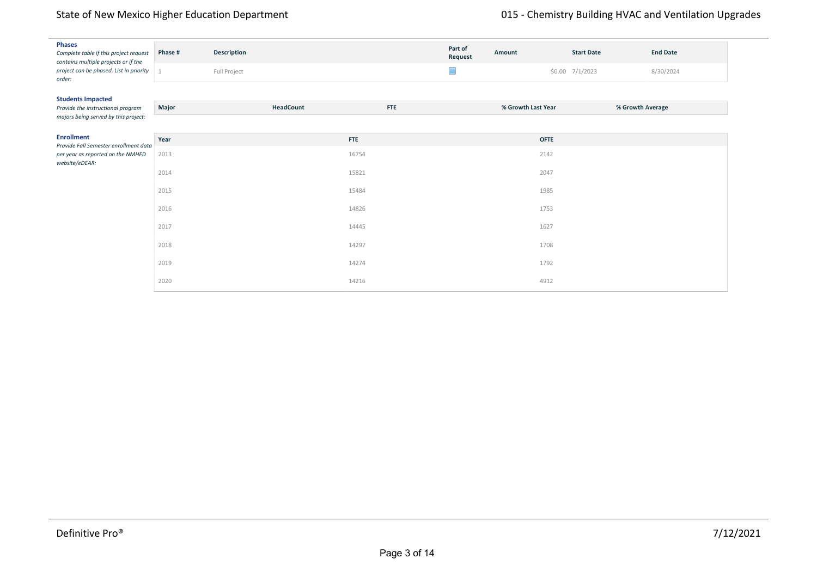| <b>Phases</b><br>Complete table if this project request<br>contains multiple projects or if the | Phase # | Description  |            | Part of<br>Request | Amount             | <b>Start Date</b> | <b>End Date</b>  |
|-------------------------------------------------------------------------------------------------|---------|--------------|------------|--------------------|--------------------|-------------------|------------------|
| project can be phased. List in priority<br>order:                                               |         | Full Project |            | $\Box$             |                    | $$0.00$ 7/1/2023  | 8/30/2024        |
| <b>Students Impacted</b>                                                                        |         |              |            |                    |                    |                   |                  |
| Provide the instructional program<br>majors being served by this project:                       | Major   | HeadCount    | <b>FTE</b> |                    | % Growth Last Year |                   | % Growth Average |
| <b>Enrollment</b>                                                                               | Year    |              | <b>FTE</b> |                    | <b>OFTE</b>        |                   |                  |
| Provide Fall Semester enrollment data<br>per year as reported on the NMHED<br>website/eDEAR:    | 2013    |              | 16754      |                    | 2142               |                   |                  |
|                                                                                                 | 2014    |              | 15821      |                    | 2047               |                   |                  |
|                                                                                                 | 2015    |              | 15484      |                    | 1985               |                   |                  |
|                                                                                                 | 2016    |              | 14826      |                    | 1753               |                   |                  |
|                                                                                                 | 2017    |              | 14445      |                    | 1627               |                   |                  |
|                                                                                                 | 2018    |              | 14297      |                    | 1708               |                   |                  |
|                                                                                                 | 2019    |              | 14274      |                    | 1792               |                   |                  |
|                                                                                                 | 2020    |              | 14216      |                    | 4912               |                   |                  |

impacts the availability of a diverse workforce. The higher educational training through coursework and experiential learning provided by the Dept. of Chemistry and Biochemistry is central to many of the key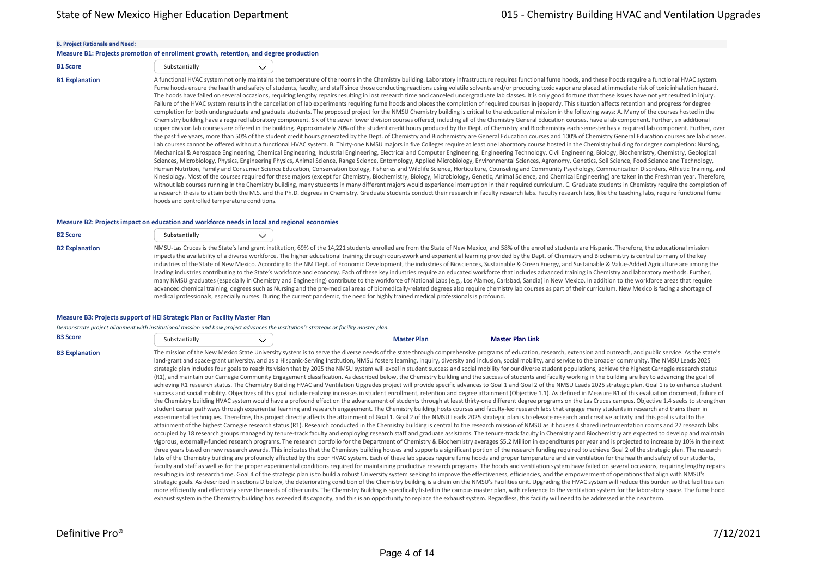#### **B. Project Rationale and Need:**

#### **Measure B1: Projects promotion of enrollment growth, retention, and degree production**

| <b>B1 Score</b> | Substantially |  |
|-----------------|---------------|--|
|                 |               |  |

B1 Explanation Models and these hoods, and these hoods require a functional HVAC system not only maintains the temperature of the rooms in the Chemistry building. Laboratory infrastructure requires functional fume hoods, a Fume hoods ensure the health and safety of students, faculty, and staff since those conducting reactions using volatile solvents and/or producing toxic vapor are placed at immediate risk of toxic inhalation hazard. The hoods have failed on several occasions, requiring lengthy repairs resulting in lost research time and canceled undergraduate lab classes. It is only good fortune that these issues have not yet resulted in injury. Failure of the HVAC system results in the cancellation of lab experiments requiring fume hoods and places the completion of required courses in jeopardy. This situation affects retention and progress for degree completion for both undergraduate and graduate students. The proposed project for the NMSU Chemistry building is critical to the educational mission in the following ways: A. Many of the courses hosted in the Chemistry building have a required laboratory component. Six of the seven lower division courses offered, including all of the Chemistry General Education courses, have a lab component. Further, six additional upper division lab courses are offered in the building. Approximately 70% of the student credit hours produced by the Dept. of Chemistry and Biochemistry each semester has a required lab component. Further, over the past five years, more than 50% of the student credit hours generated by the Dept. of Chemistry and Biochemistry are General Education courses and 100% of Chemistry General Education courses are lab classes. Lab courses cannot be offered without a functional HVAC system. B. Thirty‐one NMSU majors in five Colleges require at least one laboratory course hosted in the Chemistry building for degree completion: Nursing, Mechanical & Aerospace Engineering, Chemical Engineering, Industrial Engineering, Electrical and Computer Engineering, Engineering Technology, Civil Engineering, Biology, Biochemistry, Chemistry, Geological Sciences, Microbiology, Physics, Engineering Physics, Animal Science, Range Science, Entomology, Applied Microbiology, Environmental Sciences, Agronomy, Genetics, Soil Science, Food Science and Technology, Human Nutrition, Family and Consumer Science Education, Conservation Ecology, Fisheries and Wildlife Science, Horticulture, Counseling and Community Psychology, Communication Disorders, Athletic Training, and Kinesiology. Most of the courses required for these majors (except for Chemistry, Biochemistry, Biology, Microbiology, Genetic, Animal Science, and Chemical Engineering) are taken in the Freshman year. Therefore, without lab courses running in the Chemistry building, many students in many different majors would experience interruption in their required curriculum. C. Graduate students in Chemistry require the completion of a research thesis to attain both the M.S. and the Ph.D. degrees in Chemistry. Graduate students conduct their research in faculty research labs. Faculty research labs, like the teaching labs, require functional fume hoods and controlled temperature conditions.

#### **Measure B2: Projects impact on education and workforce needs in local and regional economies**

| <b>B2 Score</b>       | Substantially                                                                                                                                                                                                                                                                                                                  | $\checkmark$ |  |
|-----------------------|--------------------------------------------------------------------------------------------------------------------------------------------------------------------------------------------------------------------------------------------------------------------------------------------------------------------------------|--------------|--|
| <b>B2 Explanation</b> | NMSU-Las Cruces is the State's land grant institution, 69% of<br>impacts the availability of a diverse workforce. The higher ed<br>industries of the State of New Mexico. According to the NM I<br>leading industries contributing to the State's workforce and e<br>many NMSU graduates (especially in Chemistry and Engineer |              |  |

f the 14,221 students enrolled are from the State of New Mexico, and 58% of the enrolled students are Hispanic. Therefore, the educational mission lucational training through coursework and experiential learning provided by the Dept. of Chemistry and Biochemistry is central to many of the key Dept. of Economic Development, the industries of Biosciences, Sustainable & Green Energy, and Sustainable & Value‐Added Agriculture are among the economy. Each of these key industries require an educated workforce that includes advanced training in Chemistry and laboratory methods. Further, ring) contribute to the workforce of National Labs (e.g., Los Alamos, Carlsbad, Sandia) in New Mexico. In addition to the workforce areas that require advanced chemical training, degrees such as Nursing and the pre-medical areas of biomedically‐related degrees also require chemistry lab courses as part of their curriculum. New Mexico is facing a shortage of medical professionals, especially nurses. During the current pandemic, the need for highly trained medical professionals is profound.

#### **Measure B3: Projects support of HEI Strategic Plan or Facility Master Plan**

|                       | Demonstrate project alignment with institutional mission and how project advances the institution's strategic or facility master plan. |              |                                                                                                                                                                                                                                                                                                                                                                                                                                                                                                                                                                                                                                                                                                                                                                                                                                                                                                                                                                                                                                                                                                                                                                                                                                                                                                                                                                                                                                                                                                                                                                                                                                                                                                                                                                                                                                                                                                                                                                                                                                                                                                                                                                                                                                                                                                                                                                                                                                                                                                                                                                                                                                                                                                                                                                                                                                                                                                                                                                                                                                                                                                                                                                                                                                                                                                                                                                                                                                                                                                                                                                                                                                                                                                                                                                                                  |                         |  |
|-----------------------|----------------------------------------------------------------------------------------------------------------------------------------|--------------|--------------------------------------------------------------------------------------------------------------------------------------------------------------------------------------------------------------------------------------------------------------------------------------------------------------------------------------------------------------------------------------------------------------------------------------------------------------------------------------------------------------------------------------------------------------------------------------------------------------------------------------------------------------------------------------------------------------------------------------------------------------------------------------------------------------------------------------------------------------------------------------------------------------------------------------------------------------------------------------------------------------------------------------------------------------------------------------------------------------------------------------------------------------------------------------------------------------------------------------------------------------------------------------------------------------------------------------------------------------------------------------------------------------------------------------------------------------------------------------------------------------------------------------------------------------------------------------------------------------------------------------------------------------------------------------------------------------------------------------------------------------------------------------------------------------------------------------------------------------------------------------------------------------------------------------------------------------------------------------------------------------------------------------------------------------------------------------------------------------------------------------------------------------------------------------------------------------------------------------------------------------------------------------------------------------------------------------------------------------------------------------------------------------------------------------------------------------------------------------------------------------------------------------------------------------------------------------------------------------------------------------------------------------------------------------------------------------------------------------------------------------------------------------------------------------------------------------------------------------------------------------------------------------------------------------------------------------------------------------------------------------------------------------------------------------------------------------------------------------------------------------------------------------------------------------------------------------------------------------------------------------------------------------------------------------------------------------------------------------------------------------------------------------------------------------------------------------------------------------------------------------------------------------------------------------------------------------------------------------------------------------------------------------------------------------------------------------------------------------------------------------------------------------------------|-------------------------|--|
| <b>B3 Score</b>       | Substantially                                                                                                                          | $\checkmark$ | <b>Master Plan</b>                                                                                                                                                                                                                                                                                                                                                                                                                                                                                                                                                                                                                                                                                                                                                                                                                                                                                                                                                                                                                                                                                                                                                                                                                                                                                                                                                                                                                                                                                                                                                                                                                                                                                                                                                                                                                                                                                                                                                                                                                                                                                                                                                                                                                                                                                                                                                                                                                                                                                                                                                                                                                                                                                                                                                                                                                                                                                                                                                                                                                                                                                                                                                                                                                                                                                                                                                                                                                                                                                                                                                                                                                                                                                                                                                                               | <b>Master Plan Link</b> |  |
| <b>B3 Explanation</b> |                                                                                                                                        |              | The mission of the New Mexico State University system is to serve the diverse needs of the state through comprehensive programs of education, research, extension and outreach, and public service. As the state's<br>land-grant and space-grant university, and as a Hispanic-Serving Institution, NMSU fosters learning, inquiry, diversity and inclusion, social mobility, and service to the broader community. The NMSU Leads 2025<br>strategic plan includes four goals to reach its vision that by 2025 the NMSU system will excel in student success and social mobility for our diverse student populations, achieve the highest Carnegie research status<br>(R1), and maintain our Carnegie Community Engagement classification. As described below, the Chemistry building and the success of students and faculty working in the building are key to advancing the goal of<br>achieving R1 research status. The Chemistry Building HVAC and Ventilation Upgrades project will provide specific advances to Goal 1 and Goal 2 of the NMSU Leads 2025 strategic plan. Goal 1 is to enhance student<br>success and social mobility. Objectives of this goal include realizing increases in student enrollment, retention and degree attainment (Objective 1.1). As defined in Measure B1 of this evaluation document, failure of<br>the Chemistry building HVAC system would have a profound effect on the advancement of students through at least thirty-one different degree programs on the Las Cruces campus. Objective 1.4 seeks to strengthen<br>student career pathways through experiential learning and research engagement. The Chemistry building hosts courses and faculty-led research labs that engage many students in research and trains them in<br>experimental techniques. Therefore, this project directly affects the attainment of Goal 1. Goal 2 of the NMSU Leads 2025 strategic plan is to elevate research and creative activity and this goal is vital to the<br>attainment of the highest Carnegie research status (R1). Research conducted in the Chemistry building is central to the research mission of NMSU as it houses 4 shared instrumentation rooms and 27 research labs<br>occupied by 18 research groups managed by tenure-track faculty and employing research staff and graduate assistants. The tenure-track faculty in Chemistry and Biochemistry are expected to develop and maintain<br>vigorous, externally-funded research programs. The research portfolio for the Department of Chemistry & Biochemistry averages \$5.2 Million in expenditures per year and is projected to increase by 10% in the next<br>three years based on new research awards. This indicates that the Chemistry building houses and supports a significant portion of the research funding required to achieve Goal 2 of the strategic plan. The research<br>labs of the Chemistry building are profoundly affected by the poor HVAC system. Each of these lab spaces require fume hoods and proper temperature and air ventilation for the health and safety of our students,<br>faculty and staff as well as for the proper experimental conditions required for maintaining productive research programs. The hoods and ventilation system have failed on several occasions, requiring lengthy repairs<br>resulting in lost research time. Goal 4 of the strategic plan is to build a robust University system seeking to improve the effectiveness, efficiencies, and the empowerment of operations that align with NMSU's<br>strategic goals. As described in sections D below, the deteriorating condition of the Chemistry building is a drain on the NMSU's Facilities unit. Upgrading the HVAC system will reduce this burden so that facilities can |                         |  |

**Measure B4: Facilities Assessment**

exhaust system in the Chemistry building has exceeded its capacity, and this is an opportunity to replace the exhaust system. Regardless, this facility will need to be addressed in the near term.

more efficiently and effectively serve the needs of other units. The Chemistry Building is specifically listed in the campus master plan, with reference to the ventilation system for the laboratory space. The fume hood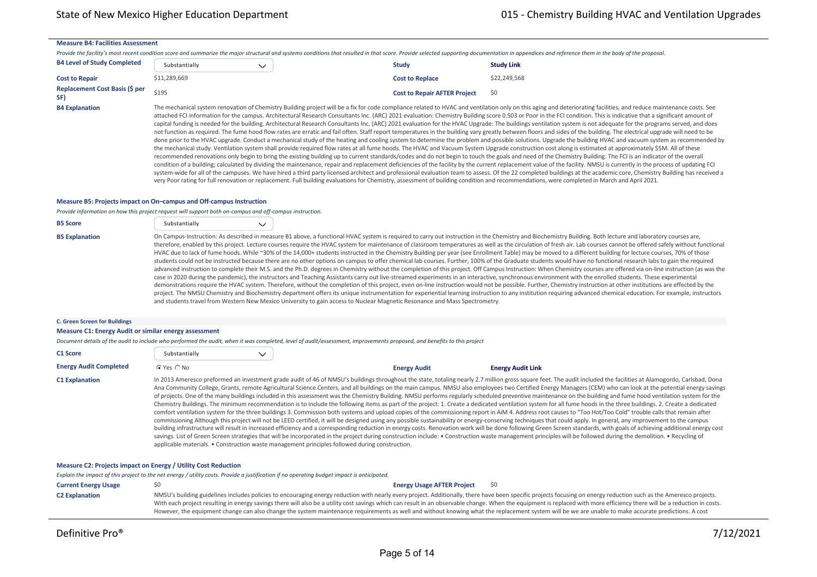#### **Measure B4: Facilities Assessment**

Provide the facility's most recent condition score and summarize the major structural and systems conditions that resulted in that score. Provide selected supporting documentation in appendices and reference them in the bo

| <b>B4 Level of Study Completed</b>           | Substantially | <b>Study</b>                        | <b>Study Link</b> |
|----------------------------------------------|---------------|-------------------------------------|-------------------|
| <b>Cost to Repair</b>                        | \$11,289,669  | <b>Cost to Replace</b>              | \$22,249,568      |
| <b>Replacement Cost Basis (\$ per</b><br>SF) | \$195         | <b>Cost to Repair AFTER Project</b> | \$0               |

B4 Explanation The mechanical system renovation of Chemistry Building project will be a fix for code compliance related to HVAC and ventilation only on this aging and deteriorating facilities, and reduce maintenance costs. attached FCI information for the campus. Architectural Research Consultants Inc. (ARC) 2021 evaluation: Chemistry Building score 0.503 or Poor in the FCI condition. This is indicative that a significant amount of capital funding is needed for the building. Architectural Research Consultants Inc. (ARC) 2021 evaluation for the HVAC Upgrade: The buildings ventilation system is not adequate for the programs served, and does not function as required. The fume hood flow rates are erratic and fail often. Staff report temperatures in the building vary greatly between floors and sides of the building. The electrical upgrade will need to be done prior to the HVAC upgrade. Conduct a mechanical study of the heating and cooling system to determine the problem and possible solutions. Upgrade the building HVAC and vacuum system as recommended by the mechanical study. Ventilation system shall provide required flow rates at all fume hoods. The HVAC and Vacuum System Upgrade construction cost along is estimated at approximately \$5M. All of these recommended renovations only begin to bring the existing building up to current standards/codes and do not begin to touch the goals and need of the Chemistry Building. The FCI is an indicator of the overall condition of a building; calculated by dividing the maintenance, repair and replacement deficiencies of the facility by the current replacement value of the facility. NMSU is currently in the process of updating FCI system-wide for all of the campuses. We have hired a third party licensed architect and professional evaluation team to assess. Of the 22 completed buildings at the academic core, Chemistry Building has received a very Poor rating for full renovation or replacement. Full building evaluations for Chemistry, assessment of building condition and recommendations, were completed in March and April 2021.

#### **Measure B5: Projects impact on On–campus and Off‐campus Instruction**

*Provide information on how this project request will support both on‐campus and off‐campus instruction.*

| <b>B5 Score</b>       | Substantially |                                                                                                                                                                                                                                                                                                                                                                                                                                                                                                                                                                                                                                                                                                                                                                                                                                                                                                                                                                                                                                                                                                                                                                                                                                                                                                                                                                                                                                                                                                                                                                                                                                                                                                                                                                                                                                                                                            |
|-----------------------|---------------|--------------------------------------------------------------------------------------------------------------------------------------------------------------------------------------------------------------------------------------------------------------------------------------------------------------------------------------------------------------------------------------------------------------------------------------------------------------------------------------------------------------------------------------------------------------------------------------------------------------------------------------------------------------------------------------------------------------------------------------------------------------------------------------------------------------------------------------------------------------------------------------------------------------------------------------------------------------------------------------------------------------------------------------------------------------------------------------------------------------------------------------------------------------------------------------------------------------------------------------------------------------------------------------------------------------------------------------------------------------------------------------------------------------------------------------------------------------------------------------------------------------------------------------------------------------------------------------------------------------------------------------------------------------------------------------------------------------------------------------------------------------------------------------------------------------------------------------------------------------------------------------------|
| <b>B5 Explanation</b> |               | On Campus-Instruction: As described in measure B1 above, a functional HVAC system is required to carry out instruction in the Chemistry and Biochemistry Building. Both lecture and laboratory courses are,<br>therefore, enabled by this project. Lecture courses require the HVAC system for maintenance of classroom temperatures as well as the circulation of fresh air. Lab courses cannot be offered safely without functional<br>HVAC due to lack of fume hoods. While ~30% of the 14,000+ students instructed in the Chemistry Building per year (see Enrollment Table) may be moved to a different building for lecture courses, 70% of those<br>students could not be instructed because there are no other options on campus to offer chemical lab courses. Further, 100% of the Graduate students would have no functional research labs to gain the required<br>advanced instruction to complete their M.S. and the Ph.D. degrees in Chemistry without the completion of this project. Off Campus Instruction: When Chemistry courses are offered via on-line instruction (as was the<br>case in 2020 during the pandemic), the instructors and Teaching Assistants carry out live-streamed experiments in an interactive, synchronous environment with the enrolled students. These experimental<br>demonstrations require the HVAC system. Therefore, without the completion of this project, even on-line instruction would not be possible. Further, Chemistry instruction at other institutions are effected by the<br>project. The NMSU Chemistry and Biochemistry department offers its unique instrumentation for experiential learning instruction to any institution requiring advanced chemical education. For example, instructors<br>and students travel from Western New Mexico University to gain access to Nuclear Magnetic Resonance and Mass Spectrometry. |

#### **C. Green Screen for Buildings**

#### **Measure C1: Energy Audit or similar energy assessment**

*Document details of the audit to include who performed the audit, when it was completed, level of audit/assessment, improvements proposed, and benefits to this project*

| C1 Score                      | Substantially        | $\checkmark$ |                                                                                                |                                                                                                                                                                                                                                                                                                                                                                                                                                                                                                                                                                                                                                                                                                                                                                                                                                                                                                                                                                                                                                                                                                                                                                                                                                                                                                                                                                                                                                                                                                                                                                                                                                                                                                                                                                          |
|-------------------------------|----------------------|--------------|------------------------------------------------------------------------------------------------|--------------------------------------------------------------------------------------------------------------------------------------------------------------------------------------------------------------------------------------------------------------------------------------------------------------------------------------------------------------------------------------------------------------------------------------------------------------------------------------------------------------------------------------------------------------------------------------------------------------------------------------------------------------------------------------------------------------------------------------------------------------------------------------------------------------------------------------------------------------------------------------------------------------------------------------------------------------------------------------------------------------------------------------------------------------------------------------------------------------------------------------------------------------------------------------------------------------------------------------------------------------------------------------------------------------------------------------------------------------------------------------------------------------------------------------------------------------------------------------------------------------------------------------------------------------------------------------------------------------------------------------------------------------------------------------------------------------------------------------------------------------------------|
| <b>Energy Audit Completed</b> | $\cap$ Yes $\cap$ No |              | <b>Energy Audit</b>                                                                            | <b>Energy Audit Link</b>                                                                                                                                                                                                                                                                                                                                                                                                                                                                                                                                                                                                                                                                                                                                                                                                                                                                                                                                                                                                                                                                                                                                                                                                                                                                                                                                                                                                                                                                                                                                                                                                                                                                                                                                                 |
| <b>C1 Explanation</b>         |                      |              | applicable materials. • Construction waste management principles followed during construction. | In 2013 Ameresco preformed an investment grade audit of 46 of NMSU's buildings throughout the state, totaling nearly 2.7 million gross square feet. The audit included the facilities at Alamogordo, Carlsbad, Dona<br>Ana Community College, Grants, remote Agricultural Science Centers, and all buildings on the main campus. NMSU also employees two Certified Energy Managers (CEM) who can look at the potential energy savings<br>of projects. One of the many buildings included in this assessment was the Chemistry Building. NMSU performs regularly scheduled preventive maintenance on the building and fume hood ventilation system for the<br>Chemistry Buildings. The minimum recommendation is to include the following items as part of the project: 1. Create a dedicated ventilation system for all fume hoods in the three buildings. 2. Create a dedicated<br>comfort ventilation system for the three buildings 3. Commission both systems and upload copies of the commissioning report in AiM 4. Address root causes to "Too Hot/Too Cold" trouble calls that remain after<br>commissioning Although this project will not be LEED certified, it will be designed using any possible sustainability or energy-conserving techniques that could apply. In general, any improvement to the campus<br>building infrastructure will result in increased efficiency and a corresponding reduction in energy costs. Renovation work will be done following Green Screen standards, with goals of achieving additional energy cost<br>savings. List of Green Screen strategies that will be incorporated in the project during construction include: . Construction waste management principles will be followed during the demolition. . Recycling of |

#### **Measure C2: Projects impact on Energy / Utility Cost Reduction**

*Explain the impact of this project to the net energy / utility costs. Provide a justification if no operating budget impact is anticipated.* **Current Energy Usage**  $\frac{1}{20}$  $\frac{1}{20}$  $\frac{1}{20}$  $\frac{1}{20}$  $\frac{1}{20}$  $\frac{1}{20}$  $\frac{1}{20}$  $\frac{1}{20}$  $\frac{1}{20}$  $\frac{1}{20}$  $\frac{1}{20}$  $\frac{1}{20}$  $\frac{1}{20}$  $\frac{1}{20}$  $\frac{1}{20}$  $\frac{1}{20}$  $\frac{1}{20}$  $\frac{1}{20}$  **\** C2 Explanation MMSU's building guidelines includes policies to encouraging energy reduction with nearly every project. Additionally, there have been specific projects focusing on energy reduction such as the Ameresco proje With each project resulting in energy savings there will also be a utility cost savings which can result in an observable change. When the equipment is replaced with more efficiency there will be a reduction in costs. However, the equipment change can also change the system maintenance requirements as well and without knowing what the replacement system will be we are unable to make accurate predictions. A cost

analysis generated for the period of Fiscal Year 17 through May 10, 2021 found that NMSU spent \$270,043 to perform maintenance and repairs on the system. Preventive maintenance expenditures account for 52%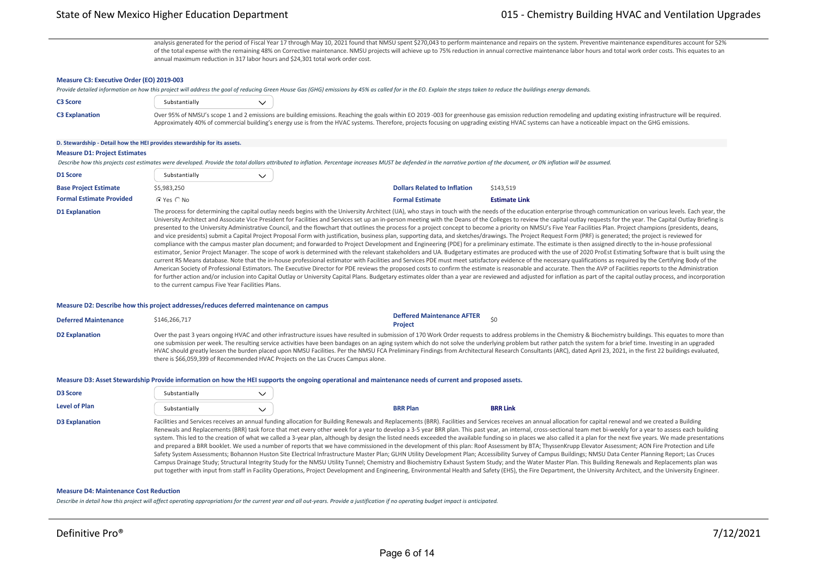analysis generated for the period of Fiscal Year 17 through May 10, 2021 found that NMSU spent \$270,043 to perform maintenance and repairs on the system. Preventive maintenance expenditures account for 52% of the total expense with the remaining 48% on Corrective maintenance. NMSU projects will achieve up to 75% reduction in annual corrective maintenance labor hours and total work order costs. This equates to an annual maximum reduction in 317 labor hours and \$24,301 total work order cost.

### **Measure C3: Executive Order (EO) 2019‐003**

*Provide detailed information on how this project will address the goal of reducing Green House Gas (GHG) emissions by 45% as called for in the EO. Explain the steps taken to reduce the buildings energy demands.*

| <b>C3 Score</b>       | Substantially |                                                                                                                                                                                                                  |
|-----------------------|---------------|------------------------------------------------------------------------------------------------------------------------------------------------------------------------------------------------------------------|
| <b>C3 Explanation</b> |               | Over 95% of NMSU's scope 1 and 2 emissions are building emissions. Reaching the goals within EO 2019-003 for greenhouse gas emission reduction remodeling and updating existing infrastructure will be required. |
|                       |               | Approximately 40% of commercial building's energy use is from the HVAC systems. Therefore, projects focusing on upgrading existing HVAC systems can have a noticeable impact on the GHG emissions.               |

### **D. Stewardship ‐ Detail how the HEI provides stewardship for its assets.**

### **Measure D1: Project Estimates**

Describe how this projects cost estimates were developed. Provide the total dollars attributed to inflation. Percentage increases MUST be defended in the narrative portion of the document, or 0% inflation will be assumed

| D1 Score                        | Substantially        |                                     |                      |
|---------------------------------|----------------------|-------------------------------------|----------------------|
| <b>Base Project Estimate</b>    | \$5,983,250          | <b>Dollars Related to Inflation</b> | \$143.519            |
| <b>Formal Estimate Provided</b> | $\cap$ Yes $\cap$ No | <b>Formal Estimate</b>              | <b>Estimate Link</b> |

D1 Explanation The process for determining the capital outlay needs begins with the University Architect (UA), who stays in touch with the needs of the education enterprise through communication on various levels. Each yea University Architect and Associate Vice President for Facilities and Services set up an in-person meeting with the Deans of the Colleges to review the capital outlay requests for the year. The Capital Outlay Briefing is presented to the University Administrative Council, and the flowchart that outlines the process for a project concept to become a priority on NMSU's Five Year Facilities Plan. Project champions (presidents, deans, and vice presidents) submit a Capital Project Proposal Form with justification, business plan, supporting data, and sketches/drawings. The Project Request Form (PRF) is generated; the project is reviewed for compliance with the campus master plan document; and forwarded to Project Development and Engineering (PDE) for a preliminary estimate. The estimate is then assigned directly to the in-house professional estimator, Senior Project Manager. The scope of work is determined with the relevant stakeholders and UA. Budgetary estimates are produced with the use of 2020 ProEst Estimating Software that is built using the current RS Means database. Note that the in-house professional estimator with Facilities and Services PDE must meet satisfactory evidence of the necessary qualifications as required by the Certifying Body of the American Society of Professional Estimators. The Executive Director for PDE reviews the proposed costs to confirm the estimate is reasonable and accurate. Then the AVP of Facilities reports to the Administration for further action and/or inclusion into Capital Outlay or University Capital Plans. Budgetary estimates older than a year are reviewed and adjusted for inflation as part of the capital outlay process, and incorporation to the current campus Five Year Facilities Plans.

#### **Measure D2: Describe how this project addresses/reduces deferred maintenance on campus**

| <b>Deferred Maintenance</b> | \$146,266,717                                                                      | <b>Deffered Maintenance AFTER</b><br>Project                                                                                                                                                                                                                                                                                                                                                                                                                                                                                                                                                                                                                 |
|-----------------------------|------------------------------------------------------------------------------------|--------------------------------------------------------------------------------------------------------------------------------------------------------------------------------------------------------------------------------------------------------------------------------------------------------------------------------------------------------------------------------------------------------------------------------------------------------------------------------------------------------------------------------------------------------------------------------------------------------------------------------------------------------------|
| <b>D2 Explanation</b>       | there is \$66,059,399 of Recommended HVAC Projects on the Las Cruces Campus alone. | Over the past 3 years ongoing HVAC and other infrastructure issues have resulted in submission of 170 Work Order requests to address problems in the Chemistry & Biochemistry buildings. This equates to more than<br>one submission per week. The resulting service activities have been bandages on an aging system which do not solve the underlying problem but rather patch the system for a brief time. Investing in an upgraded<br>HVAC should greatly lessen the burden placed upon NMSU Facilities. Per the NMSU FCA Preliminary Findings from Architectural Research Consultants (ARC), dated April 23, 2021, in the first 22 buildings evaluated, |

#### **Measure D3: Asset Stewardship Provide information on how the HEI supports the ongoing operational and maintenance needs of current and proposed assets.**

| <b>D3 Score</b><br><b>Level of Plan</b> | Substantially<br>Substantially | <b>BRR Plan</b> | <b>BRR Link</b>                                                                                                                                                                                                                                                                                                                                                                                                                                                                                                                                                                                                                                                                                                                                                                                                                                                                                                                                                                                                                                                                                                                                                                                                                                                                                                                                                                                                                                                                                                                      |
|-----------------------------------------|--------------------------------|-----------------|--------------------------------------------------------------------------------------------------------------------------------------------------------------------------------------------------------------------------------------------------------------------------------------------------------------------------------------------------------------------------------------------------------------------------------------------------------------------------------------------------------------------------------------------------------------------------------------------------------------------------------------------------------------------------------------------------------------------------------------------------------------------------------------------------------------------------------------------------------------------------------------------------------------------------------------------------------------------------------------------------------------------------------------------------------------------------------------------------------------------------------------------------------------------------------------------------------------------------------------------------------------------------------------------------------------------------------------------------------------------------------------------------------------------------------------------------------------------------------------------------------------------------------------|
| <b>D3 Explanation</b>                   |                                |                 | Facilities and Services receives an annual funding allocation for Building Renewals and Replacements (BRR). Facilities and Services receives an annual allocation for capital renewal and we created a Building<br>Renewals and Replacements (BRR) task force that met every other week for a year to develop a 3-5 year BRR plan. This past year, an internal, cross-sectional team met bi-weekly for a year to assess each building<br>system. This led to the creation of what we called a 3-year plan, although by design the listed needs exceeded the available funding so in places we also called it a plan for the next five years. We made presentations<br>and prepared a BRR booklet. We used a number of reports that we have commissioned in the development of this plan: Roof Assessment by BTA; ThyssenKrupp Elevator Assessment; AON Fire Protection and Life<br>Safety System Assessments; Bohannon Huston Site Electrical Infrastructure Master Plan; GLHN Utility Development Plan; Accessibility Survey of Campus Buildings; NMSU Data Center Planning Report; Las Cruces<br>Campus Drainage Study; Structural Integrity Study for the NMSU Utility Tunnel; Chemistry and Biochemistry Exhaust System Study; and the Water Master Plan. This Building Renewals and Replacements plan was<br>put together with input from staff in Facility Operations, Project Development and Engineering, Environmental Health and Safety (EHS), the Fire Department, the University Architect, and the University Engineer. |

#### **Measure D4: Maintenance Cost Reduction**

*Describe in detail how this project will affect operating appropriations for the current year and all out‐years. Provide a justification if no operating budget impact is anticipated.*

**Total O&M Budget** \$0 **Total O&M Budget AFTER**

**Project** \$1,000 million \$1,000 million \$1,000 million \$1,000 million \$1,000 million \$1,000 million \$1,000 million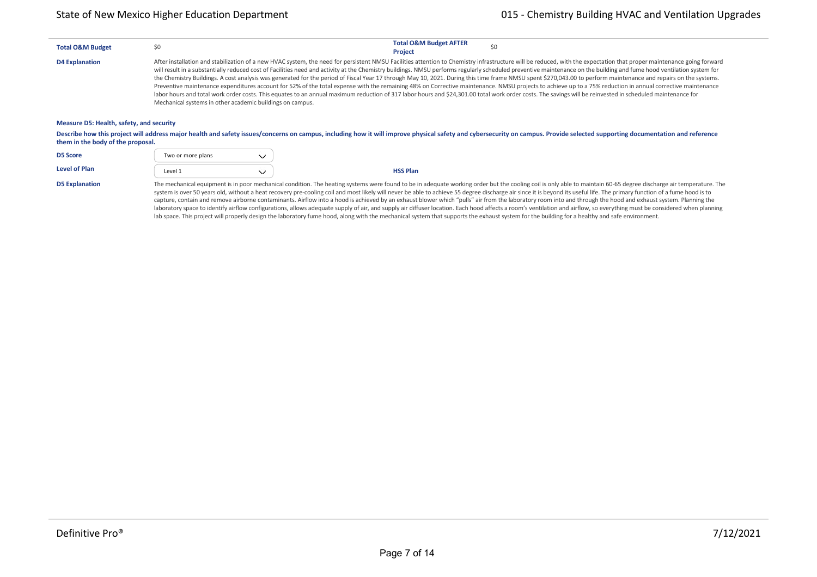| <b>Total O&amp;M Budget</b>                                                                                                                                                                                                                                       | \$0                                                                                                                                                                                                                                                                                                                                                                                                                                                                                                                                                                                                                                                                                                                                                                                                                                                                                                                                                                                                                                                                                                                                                       |              | <b>Total O&amp;M Budget AFTER</b><br><b>Project</b> | \$0 |  |  |  |  |  |
|-------------------------------------------------------------------------------------------------------------------------------------------------------------------------------------------------------------------------------------------------------------------|-----------------------------------------------------------------------------------------------------------------------------------------------------------------------------------------------------------------------------------------------------------------------------------------------------------------------------------------------------------------------------------------------------------------------------------------------------------------------------------------------------------------------------------------------------------------------------------------------------------------------------------------------------------------------------------------------------------------------------------------------------------------------------------------------------------------------------------------------------------------------------------------------------------------------------------------------------------------------------------------------------------------------------------------------------------------------------------------------------------------------------------------------------------|--------------|-----------------------------------------------------|-----|--|--|--|--|--|
| <b>D4 Explanation</b>                                                                                                                                                                                                                                             | After installation and stabilization of a new HVAC system, the need for persistent NMSU Facilities attention to Chemistry infrastructure will be reduced, with the expectation that proper maintenance going forward<br>will result in a substantially reduced cost of Facilities need and activity at the Chemistry buildings. NMSU performs regularly scheduled preventive maintenance on the building and fume hood ventilation system for<br>the Chemistry Buildings. A cost analysis was generated for the period of Fiscal Year 17 through May 10, 2021. During this time frame NMSU spent \$270,043.00 to perform maintenance and repairs on the systems.<br>Preventive maintenance expenditures account for 52% of the total expense with the remaining 48% on Corrective maintenance. NMSU projects to achieve up to a 75% reduction in annual corrective maintenance<br>labor hours and total work order costs. This equates to an annual maximum reduction of 317 labor hours and \$24,301.00 total work order costs. The savings will be reinvested in scheduled maintenance for<br>Mechanical systems in other academic buildings on campus. |              |                                                     |     |  |  |  |  |  |
| Measure D5: Health, safety, and security                                                                                                                                                                                                                          |                                                                                                                                                                                                                                                                                                                                                                                                                                                                                                                                                                                                                                                                                                                                                                                                                                                                                                                                                                                                                                                                                                                                                           |              |                                                     |     |  |  |  |  |  |
| Describe how this project will address major health and safety issues/concerns on campus, including how it will improve physical safety and cybersecurity on campus. Provide selected supporting documentation and reference<br>them in the body of the proposal. |                                                                                                                                                                                                                                                                                                                                                                                                                                                                                                                                                                                                                                                                                                                                                                                                                                                                                                                                                                                                                                                                                                                                                           |              |                                                     |     |  |  |  |  |  |
| <b>D5 Score</b>                                                                                                                                                                                                                                                   | Two or more plans                                                                                                                                                                                                                                                                                                                                                                                                                                                                                                                                                                                                                                                                                                                                                                                                                                                                                                                                                                                                                                                                                                                                         | $\checkmark$ |                                                     |     |  |  |  |  |  |
| <b>Level of Plan</b>                                                                                                                                                                                                                                              | Level 1                                                                                                                                                                                                                                                                                                                                                                                                                                                                                                                                                                                                                                                                                                                                                                                                                                                                                                                                                                                                                                                                                                                                                   | $\checkmark$ | <b>HSS Plan</b>                                     |     |  |  |  |  |  |

D5 Explanation The mechanical equipment is in poor mechanical condition. The heating systems were found to be in adequate working order but the cooling coil is only able to maintain 60-65 degree discharge air temperature. system is over 50 years old, without a heat recovery pre-cooling coil and most likely will never be able to achieve 55 degree discharge air since it is beyond its useful life. The primary function of a fume hood is to capture, contain and remove airborne contaminants. Airflow into a hood is achieved by an exhaust blower which "pulls" air from the laboratory room into and through the hood and exhaust system. Planning the laboratory space to identify airflow configurations, allows adequate supply of air, and supply air diffuser location. Each hood affects a room's ventilation and airflow, so everything must be considered when planning lab space. This project will properly design the laboratory fume hood, along with the mechanical system that supports the exhaust system for the building for a healthy and safe environment.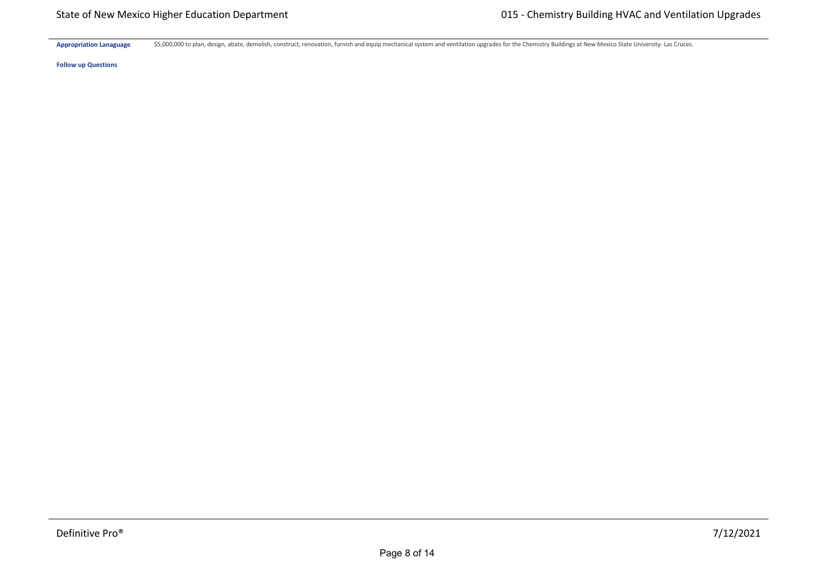Appropriation Lanaguage \$5,000,000 to plan, design, abate, demolish, construct, renovation, furnish and equip mechanical system and ventilation upgrades for the Chemistry Buildings at New Mexico State University- Las Cruce

**Follow up Questions**

**Hardware \$** \$0 \$0 \$0 \$0 \$0 \$0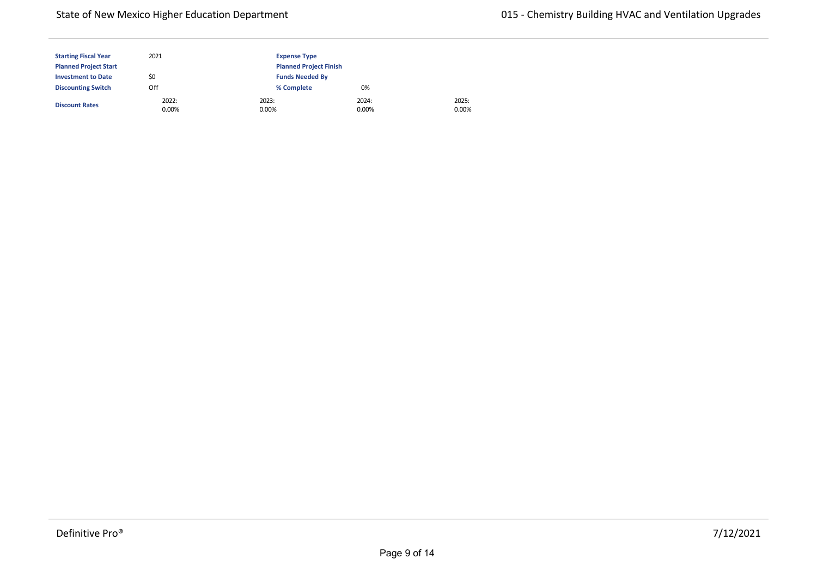| <b>Starting Fiscal Year</b>  | 2021              | <b>Expense Type</b>           |                |  |
|------------------------------|-------------------|-------------------------------|----------------|--|
| <b>Planned Project Start</b> |                   | <b>Planned Project Finish</b> |                |  |
| <b>Investment to Date</b>    | \$0               | <b>Funds Needed By</b>        |                |  |
| <b>Discounting Switch</b>    | Off               | % Complete                    | 0%             |  |
| <b>Discount Rates</b>        | 2022:<br>$0.00\%$ | 2023:<br>0.00%                | 2024:<br>0.00% |  |

2025: 0.00%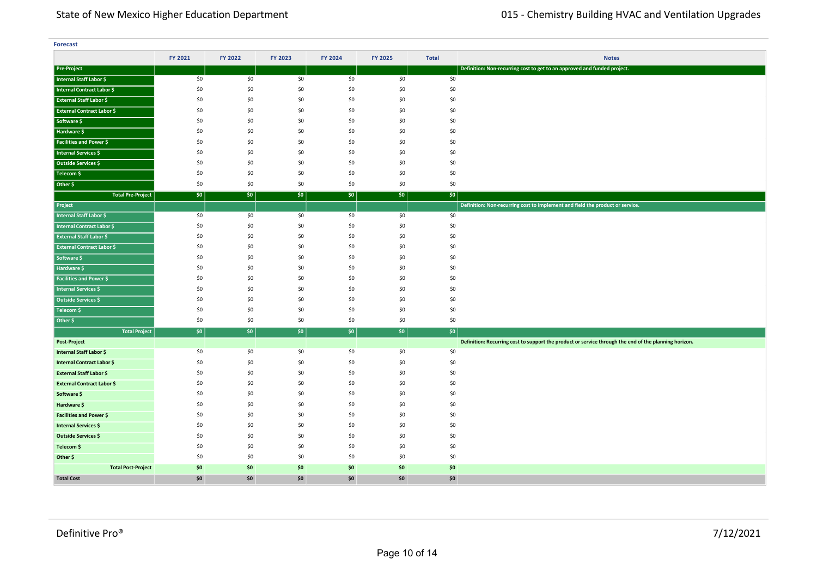| <b>Forecast</b>                   |         |         |         |         |         |              |                                                                                                       |
|-----------------------------------|---------|---------|---------|---------|---------|--------------|-------------------------------------------------------------------------------------------------------|
|                                   | FY 2021 | FY 2022 | FY 2023 | FY 2024 | FY 2025 | <b>Total</b> | <b>Notes</b>                                                                                          |
| <b>Pre-Project</b>                |         |         |         |         |         |              | Definition: Non-recurring cost to get to an approved and funded project.                              |
| Internal Staff Labor \$           | \$0     | \$0     | \$0     | \$0     | \$0     | \$0          |                                                                                                       |
| Internal Contract Labor \$        | \$0     | \$0     | \$0     | \$0     | \$0     | \$0          |                                                                                                       |
| <b>External Staff Labor \$</b>    | \$0     | \$0     | \$0     | \$0     | \$0     | \$0          |                                                                                                       |
| <b>External Contract Labor \$</b> | \$0     | \$0     | \$0     | \$0     | \$0     | \$0          |                                                                                                       |
| Software \$                       | \$0     | \$0     | \$0     | \$0     | \$0     | \$0          |                                                                                                       |
| Hardware \$                       | \$0     | \$0     | \$0     | \$0     | \$0     | \$0          |                                                                                                       |
| <b>Facilities and Power \$</b>    | \$0     | \$0     | \$0     | \$0     | \$0     | \$0          |                                                                                                       |
| Internal Services \$              | \$0     | \$0     | \$0     | \$0     | \$0     | \$0          |                                                                                                       |
| Outside Services \$               | \$0     | \$0     | \$0     | \$0     | \$0     | \$0          |                                                                                                       |
| Telecom \$                        | \$0     | \$0     | \$0     | \$0     | \$0     | \$0          |                                                                                                       |
| Other \$                          | \$0     | \$0     | \$0     | \$0     | \$0     | \$0          |                                                                                                       |
| <b>Total Pre-Project</b>          | \$0     | \$0     | \$0     | \$0     | \$0     | \$0          |                                                                                                       |
| Project                           |         |         |         |         |         |              | Definition: Non-recurring cost to implement and field the product or service.                         |
| Internal Staff Labor \$           | \$0     | \$0     | \$0     | \$0     | \$0     | \$0          |                                                                                                       |
| Internal Contract Labor \$        | \$0     | \$0     | \$0     | \$0     | \$0     | \$0          |                                                                                                       |
| <b>External Staff Labor \$</b>    | \$0     | \$0     | \$0     | \$0     | \$0     | \$0          |                                                                                                       |
| <b>External Contract Labor \$</b> | \$0     | \$0     | \$0     | \$0     | \$0     | \$0          |                                                                                                       |
| Software \$                       | \$0     | \$0     | \$0     | \$0     | \$0     | \$0          |                                                                                                       |
| Hardware \$                       | \$0     | \$0     | \$0     | \$0     | \$0     | \$0          |                                                                                                       |
| <b>Facilities and Power \$</b>    | \$0     | \$0     | \$0     | \$0     | \$0     | \$0          |                                                                                                       |
| <b>Internal Services \$</b>       | \$0     | \$0     | \$0     | \$0     | \$0     | \$0          |                                                                                                       |
| Outside Services \$               | \$0     | \$0     | \$0     | \$0     | \$0     | \$0          |                                                                                                       |
| Telecom \$                        | \$0     | \$0     | \$0     | \$0     | \$0     | \$0          |                                                                                                       |
| Other \$                          | \$0     | \$0     | \$0     | \$0     | \$0     | \$0          |                                                                                                       |
| <b>Total Project</b>              | \$0     | \$0     | \$0     | \$0     | \$0     | $ $ \$0      |                                                                                                       |
| <b>Post-Project</b>               |         |         |         |         |         |              | Definition: Recurring cost to support the product or service through the end of the planning horizon. |
| Internal Staff Labor \$           | \$0     | \$0     | \$0     | \$0     | \$0     | \$0          |                                                                                                       |
| Internal Contract Labor \$        | \$0     | \$0     | \$0     | \$0     | \$0     | \$0          |                                                                                                       |
| <b>External Staff Labor \$</b>    | \$0     | \$0     | \$0     | \$0     | \$0     | \$0          |                                                                                                       |
| <b>External Contract Labor \$</b> | \$0     | \$0     | \$0     | \$0     | \$0     | \$0          |                                                                                                       |
| Software \$                       | \$0     | \$0     | \$0     | \$0     | \$0     | \$0          |                                                                                                       |
| Hardware \$                       | \$0     | \$0     | \$0     | \$0     | \$0     | \$0          |                                                                                                       |
| <b>Facilities and Power \$</b>    | \$0     | \$0     | \$0     | \$0     | \$0     | \$0          |                                                                                                       |
| <b>Internal Services \$</b>       | \$0     | \$0     | \$0     | \$0     | \$0     | \$0          |                                                                                                       |
| <b>Outside Services \$</b>        | \$0     | \$0     | \$0     | \$0     | \$0     | \$0          |                                                                                                       |
| Telecom \$                        | \$0     | \$0     | \$0     | \$0     | \$0     | \$0          |                                                                                                       |
| Other \$                          | \$0     | \$0     | \$0     | \$0     | \$0     | \$0          |                                                                                                       |
| <b>Total Post-Project</b>         | \$0     | \$0     | \$0     | \$0     | \$0     | \$0          |                                                                                                       |
| <b>Total Cost</b>                 | \$0     | \$0     | \$0     | \$0     | \$0     | \$0          |                                                                                                       |

**<Source 1> \$** \$0 \$0 \$0 \$0 \$0 \$0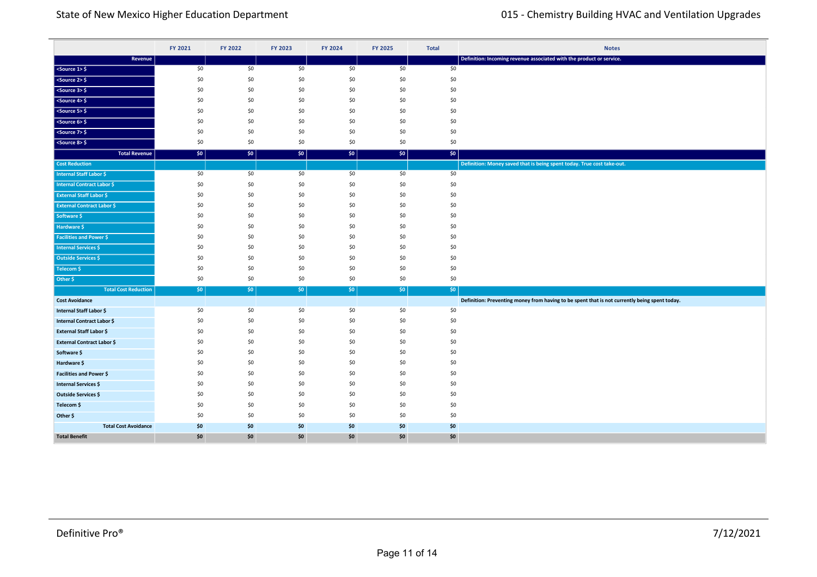|                                                  | FY 2021    | FY 2022    | FY 2023    | FY 2024    | FY 2025    | <b>Total</b> | <b>Notes</b>                                                                                  |
|--------------------------------------------------|------------|------------|------------|------------|------------|--------------|-----------------------------------------------------------------------------------------------|
| Revenue                                          |            |            |            |            |            |              | Definition: Incoming revenue associated with the product or service.                          |
| $<$ Source 1> $\frac{6}{5}$                      | \$0        | \$0        | \$0        | \$0        | \$0        | \$0          |                                                                                               |
| $<$ Source 2> $$$                                | \$0        | \$0        | \$0        | \$0        | \$0        | \$0          |                                                                                               |
| $<$ Source 3> $\frac{1}{2}$                      | \$0        | \$0        | \$0        | \$0        | \$0        | \$0          |                                                                                               |
| $<$ Source 4> $\frac{6}{7}$                      | \$0        | \$0        | \$0        | \$0        | \$0        | \$0          |                                                                                               |
| $<$ Source 5> $\frac{1}{2}$                      | \$0        | \$0        | \$0        | \$0        | \$0        | \$0          |                                                                                               |
| $<$ Source 6> $>$                                | \$0        | \$0        | \$0        | \$0        | \$0        | \$0          |                                                                                               |
| <source 7=""/> \$                                | \$0        | \$0        | \$0        | \$0        | \$0        | \$0          |                                                                                               |
| <source 8=""/> \$                                | \$0        | \$0        | \$0        | \$0        | \$0        | \$0          |                                                                                               |
| <b>Total Revenue</b>                             | $ $ \$0    | \$0        | $ $ \$0    | \$0        | \$0        | \$0          |                                                                                               |
| <b>Cost Reduction</b>                            |            |            |            |            |            |              | Definition: Money saved that is being spent today. True cost take-out.                        |
| <b>Internal Staff Labor \$</b>                   | \$0        | \$0        | \$0        | \$0        | \$0        | \$0          |                                                                                               |
| <b>Internal Contract Labor \$</b>                | \$0        | \$0        | \$0        | \$0        | \$0        | \$0          |                                                                                               |
| <b>External Staff Labor \$</b>                   | \$0        | \$0        | \$0        | \$0        | \$0        | \$0          |                                                                                               |
| <b>External Contract Labor \$</b>                | \$0        | \$0        | \$0        | \$0        | \$0        | \$0          |                                                                                               |
| Software \$                                      | \$0        | \$0        | \$0        | \$0        | \$0        | \$0          |                                                                                               |
| Hardware \$                                      | \$0        | \$0        | \$0        | \$0        | \$0        | \$0          |                                                                                               |
| <b>Facilities and Power \$</b>                   | \$0        | \$0        | \$0        | \$0        | \$0        | \$0          |                                                                                               |
| <b>Internal Services \$</b>                      | \$0        | \$0        | \$0        | \$0        | \$0        | \$0          |                                                                                               |
| Outside Services \$                              | \$0        | \$0        | \$0        | \$0        | \$0        | \$0          |                                                                                               |
| Telecom \$                                       | \$0        | \$0        | \$0        | \$0        | \$0        | \$0          |                                                                                               |
| Other \$                                         | \$0        | \$0        | \$0        | \$0        | \$0        | \$0          |                                                                                               |
| <b>Total Cost Reduction</b>                      | 50         | $ $ \$0    | \$0        | \$0        | $ $ \$0    | \$0          |                                                                                               |
| <b>Cost Avoidance</b>                            |            |            |            |            |            |              | Definition: Preventing money from having to be spent that is not currently being spent today. |
| Internal Staff Labor \$                          | \$0        | \$0        | \$0        | \$0        | \$0        | \$0          |                                                                                               |
| Internal Contract Labor \$                       | \$0<br>\$0 | \$0<br>\$0 | \$0<br>\$0 | \$0<br>\$0 | \$0<br>\$0 | \$0<br>\$0   |                                                                                               |
| <b>External Staff Labor \$</b>                   | \$0        | \$0        | \$0        | \$0        | \$0        | \$0          |                                                                                               |
| <b>External Contract Labor \$</b><br>Software \$ | \$0        | \$0        | \$0        | \$0        | \$0        | \$0          |                                                                                               |
| Hardware \$                                      | \$0        | \$0        | \$0        | \$0        | \$0        | \$0          |                                                                                               |
| <b>Facilities and Power \$</b>                   | \$0        | \$0        | \$0        | \$0        | \$0        | \$0          |                                                                                               |
| Internal Services \$                             | \$0        | \$0        | \$0        | \$0        | \$0        | \$0          |                                                                                               |
| Outside Services \$                              | \$0        | \$0        | \$0        | \$0        | \$0        | \$0          |                                                                                               |
| Telecom \$                                       | \$0        | \$0        | \$0        | \$0        | \$0        | \$0          |                                                                                               |
| Other \$                                         | \$0        | \$0        | \$0        | \$0        | \$0        | \$0          |                                                                                               |
| <b>Total Cost Avoidance</b>                      | \$0        | \$0        | \$0        | \$0        | \$0        | \$0          |                                                                                               |
| <b>Total Benefit</b>                             | \$0        | \$0        | \$0        | \$0        | \$0        | \$0          |                                                                                               |

**Total Cost Reduction** \$0 \$0 \$0 \$0 \$0 \$0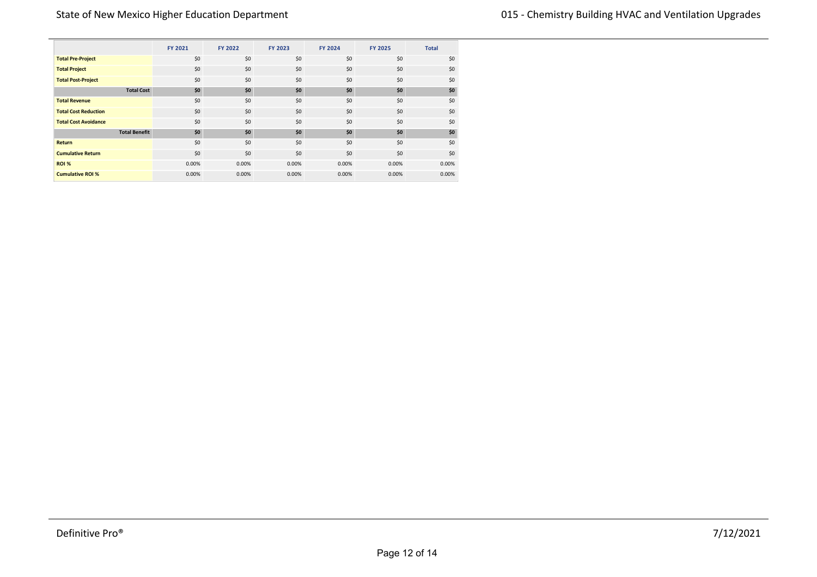|                             |                      | FY 2021 | FY 2022 | FY 2023 | FY 2024 | <b>FY 2025</b> | <b>Total</b> |
|-----------------------------|----------------------|---------|---------|---------|---------|----------------|--------------|
| <b>Total Pre-Project</b>    |                      | \$0     | \$0     | \$0     | \$0     | \$0            | \$0          |
| <b>Total Project</b>        |                      | \$0     | \$0     | \$0     | \$0     | \$0            | \$0          |
| <b>Total Post-Project</b>   |                      | \$0     | \$0     | \$0     | \$0     | \$0            | \$0          |
|                             | <b>Total Cost</b>    | \$0     | \$0     | \$0     | \$0     | \$0            | \$0          |
| <b>Total Revenue</b>        |                      | \$0     | \$0     | \$0     | \$0     | \$0            | \$0          |
| <b>Total Cost Reduction</b> |                      | \$0     | \$0     | \$0     | \$0     | \$0            | \$0          |
| <b>Total Cost Avoidance</b> |                      | \$0     | \$0     | \$0     | \$0     | \$0            | \$0          |
|                             | <b>Total Benefit</b> | \$0     | \$0     | \$0     | \$0     | \$0            | \$0          |
| <b>Return</b>               |                      | \$0     | \$0     | \$0     | \$0     | \$0            | \$0          |
| <b>Cumulative Return</b>    |                      | \$0     | \$0     | \$0     | \$0     | \$0            | \$0          |
| <b>ROI %</b>                |                      | 0.00%   | 0.00%   | 0.00%   | 0.00%   | 0.00%          | 0.00%        |
| <b>Cumulative ROI %</b>     |                      | 0.00%   | 0.00%   | 0.00%   | 0.00%   | 0.00%          | 0.00%        |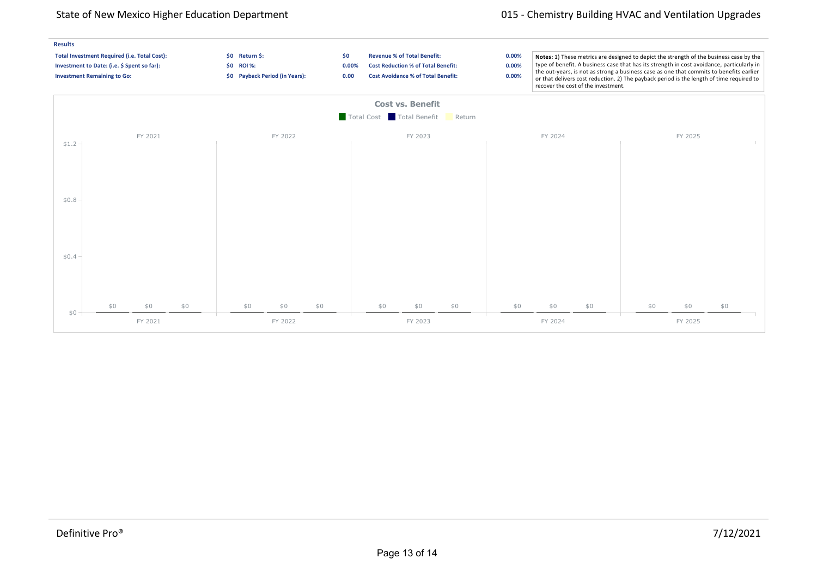## State of New Mexico Higher Education Department **1992** Chemistry Building HVAC and Ventilation Upgrades